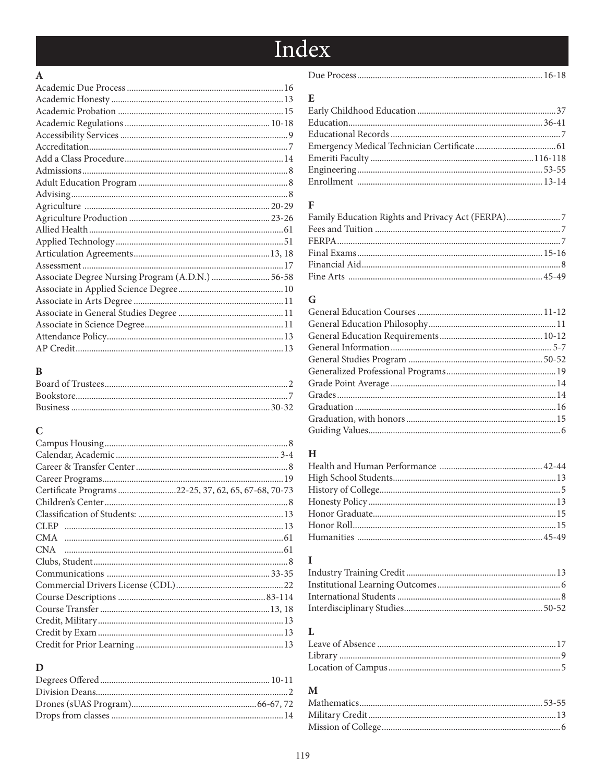# Index

#### $\boldsymbol{\rm{A}}$

| Associate Degree Nursing Program (A.D.N.)  56-58 |  |
|--------------------------------------------------|--|
|                                                  |  |
|                                                  |  |
|                                                  |  |
|                                                  |  |
|                                                  |  |
|                                                  |  |

#### $\bf{B}$

#### $\mathbf C$

| Certificate Programs22-25, 37, 62, 65, 67-68, 70-73 |
|-----------------------------------------------------|
|                                                     |
|                                                     |
|                                                     |
|                                                     |
|                                                     |
|                                                     |
|                                                     |
|                                                     |
|                                                     |
|                                                     |
|                                                     |
|                                                     |
|                                                     |
|                                                     |

#### $\mathbf D$

|--|--|--|--|

#### ${\bf E}$

#### $\mathbf F$

| Family Education Rights and Privacy Act (FERPA) |  |
|-------------------------------------------------|--|
|                                                 |  |
|                                                 |  |
|                                                 |  |
|                                                 |  |
|                                                 |  |

#### ${\bf G}$

#### $\, {\rm H}$

#### $\mathbf I$

### ${\bf L}$

#### $\mathbf M$